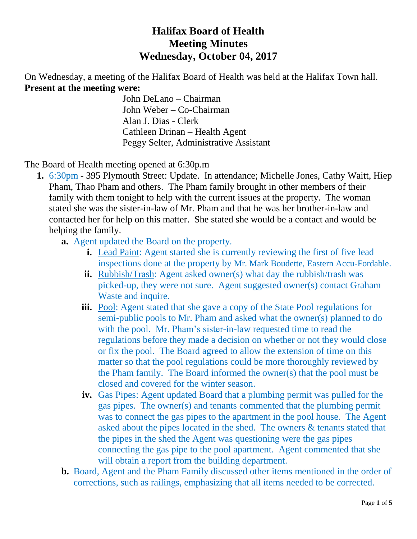# **Halifax Board of Health Meeting Minutes Wednesday, October 04, 2017**

On Wednesday, a meeting of the Halifax Board of Health was held at the Halifax Town hall. **Present at the meeting were:**

> John DeLano – Chairman John Weber – Co-Chairman Alan J. Dias - Clerk Cathleen Drinan – Health Agent Peggy Selter, Administrative Assistant

The Board of Health meeting opened at 6:30p.m

- **1.** 6:30pm 395 Plymouth Street: Update. In attendance; Michelle Jones, Cathy Waitt, Hiep Pham, Thao Pham and others. The Pham family brought in other members of their family with them tonight to help with the current issues at the property. The woman stated she was the sister-in-law of Mr. Pham and that he was her brother-in-law and contacted her for help on this matter. She stated she would be a contact and would be helping the family.
	- **a.** Agent updated the Board on the property.
		- **i.** Lead Paint: Agent started she is currently reviewing the first of five lead inspections done at the property by Mr. Mark Boudette, Eastern Accu-Fordable.
		- **ii.** Rubbish/Trash: Agent asked owner(s) what day the rubbish/trash was picked-up, they were not sure. Agent suggested owner(s) contact Graham Waste and inquire.
		- **iii.** Pool: Agent stated that she gave a copy of the State Pool regulations for semi-public pools to Mr. Pham and asked what the owner(s) planned to do with the pool. Mr. Pham's sister-in-law requested time to read the regulations before they made a decision on whether or not they would close or fix the pool. The Board agreed to allow the extension of time on this matter so that the pool regulations could be more thoroughly reviewed by the Pham family. The Board informed the owner(s) that the pool must be closed and covered for the winter season.
		- **iv.** Gas Pipes: Agent updated Board that a plumbing permit was pulled for the gas pipes. The owner(s) and tenants commented that the plumbing permit was to connect the gas pipes to the apartment in the pool house. The Agent asked about the pipes located in the shed. The owners & tenants stated that the pipes in the shed the Agent was questioning were the gas pipes connecting the gas pipe to the pool apartment. Agent commented that she will obtain a report from the building department.
	- **b.** Board, Agent and the Pham Family discussed other items mentioned in the order of corrections, such as railings, emphasizing that all items needed to be corrected.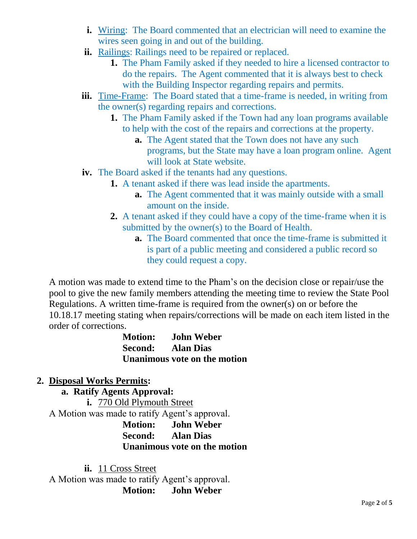- **i.** Wiring: The Board commented that an electrician will need to examine the wires seen going in and out of the building.
- **ii.** Railings: Railings need to be repaired or replaced.
	- **1.** The Pham Family asked if they needed to hire a licensed contractor to do the repairs. The Agent commented that it is always best to check with the Building Inspector regarding repairs and permits.
- **iii.** Time-Frame: The Board stated that a time-frame is needed, in writing from the owner(s) regarding repairs and corrections.
	- **1.** The Pham Family asked if the Town had any loan programs available to help with the cost of the repairs and corrections at the property.
		- **a.** The Agent stated that the Town does not have any such programs, but the State may have a loan program online. Agent will look at State website.
- **iv.** The Board asked if the tenants had any questions.
	- **1.** A tenant asked if there was lead inside the apartments.
		- **a.** The Agent commented that it was mainly outside with a small amount on the inside.
	- **2.** A tenant asked if they could have a copy of the time-frame when it is submitted by the owner(s) to the Board of Health.
		- **a.** The Board commented that once the time-frame is submitted it is part of a public meeting and considered a public record so they could request a copy.

A motion was made to extend time to the Pham's on the decision close or repair/use the pool to give the new family members attending the meeting time to review the State Pool Regulations. A written time-frame is required from the owner(s) on or before the 10.18.17 meeting stating when repairs/corrections will be made on each item listed in the order of corrections.

**Motion: John Weber Second: Alan Dias Unanimous vote on the motion**

## **2. Disposal Works Permits:**

### **a. Ratify Agents Approval:**

**i.** 770 Old Plymouth Street A Motion was made to ratify Agent's approval. **Motion: John Weber**

**Second: Alan Dias Unanimous vote on the motion**

**ii.** 11 Cross Street A Motion was made to ratify Agent's approval. **Motion: John Weber**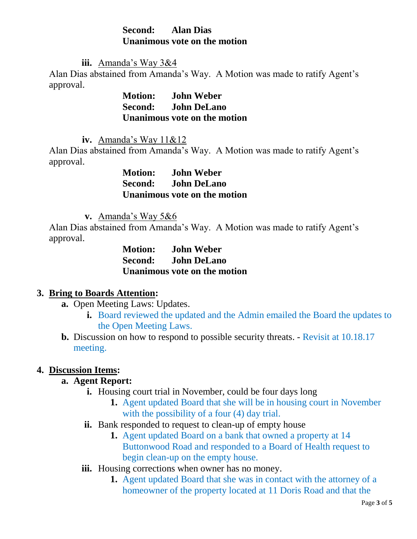### **Second: Alan Dias Unanimous vote on the motion**

**iii.** Amanda's Way 3&4

Alan Dias abstained from Amanda's Way. A Motion was made to ratify Agent's approval.

> **Motion: John Weber Second: John DeLano Unanimous vote on the motion**

**iv.** Amanda's Way 11&12

Alan Dias abstained from Amanda's Way. A Motion was made to ratify Agent's approval.

> **Motion: John Weber Second: John DeLano Unanimous vote on the motion**

**v.** Amanda's Way 5&6

Alan Dias abstained from Amanda's Way. A Motion was made to ratify Agent's approval.

> **Motion: John Weber Second: John DeLano Unanimous vote on the motion**

## **3. Bring to Boards Attention:**

- **a.** Open Meeting Laws: Updates.
	- **i.** Board reviewed the updated and the Admin emailed the Board the updates to the Open Meeting Laws.
- **b.** Discussion on how to respond to possible security threats. Revisit at 10.18.17 meeting.

## **4. Discussion Items:**

### **a. Agent Report:**

- **i.** Housing court trial in November, could be four days long
	- **1.** Agent updated Board that she will be in housing court in November with the possibility of a four (4) day trial.
- **ii.** Bank responded to request to clean-up of empty house
	- **1.** Agent updated Board on a bank that owned a property at 14 Buttonwood Road and responded to a Board of Health request to begin clean-up on the empty house.
- **iii.** Housing corrections when owner has no money.
	- **1.** Agent updated Board that she was in contact with the attorney of a homeowner of the property located at 11 Doris Road and that the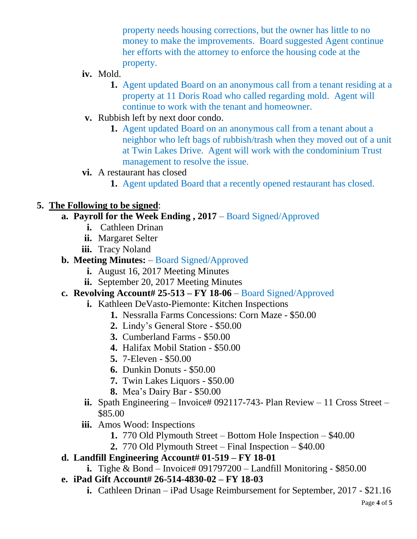property needs housing corrections, but the owner has little to no money to make the improvements. Board suggested Agent continue her efforts with the attorney to enforce the housing code at the property.

- **iv.** Mold.
	- **1.** Agent updated Board on an anonymous call from a tenant residing at a property at 11 Doris Road who called regarding mold. Agent will continue to work with the tenant and homeowner.
- **v.** Rubbish left by next door condo.
	- **1.** Agent updated Board on an anonymous call from a tenant about a neighbor who left bags of rubbish/trash when they moved out of a unit at Twin Lakes Drive. Agent will work with the condominium Trust management to resolve the issue.
- **vi.** A restaurant has closed
	- **1.** Agent updated Board that a recently opened restaurant has closed.

### **5. The Following to be signed**:

- **a. Payroll for the Week Ending , 2017** Board Signed/Approved
	- **i.** Cathleen Drinan
	- **ii.** Margaret Selter
	- **iii.** Tracy Noland
- **b.** Meeting Minutes:  $-\text{Board Signal}$ Approved
	- **i.** August 16, 2017 Meeting Minutes
	- **ii.** September 20, 2017 Meeting Minutes
- **c. Revolving Account# 25-513 – FY 18-06**  Board Signed/Approved
	- **i.** Kathleen DeVasto-Piemonte: Kitchen Inspections
		- **1.** Nessralla Farms Concessions: Corn Maze \$50.00
		- **2.** Lindy's General Store \$50.00
		- **3.** Cumberland Farms \$50.00
		- **4.** Halifax Mobil Station \$50.00
		- **5.** 7-Eleven \$50.00
		- **6.** Dunkin Donuts \$50.00
		- **7.** Twin Lakes Liquors \$50.00
		- **8.** Mea's Dairy Bar \$50.00
	- **ii.** Spath Engineering Invoice# 092117-743- Plan Review 11 Cross Street \$85.00
	- **iii.** Amos Wood: Inspections
		- **1.** 770 Old Plymouth Street Bottom Hole Inspection \$40.00
		- **2.** 770 Old Plymouth Street Final Inspection \$40.00

### **d. Landfill Engineering Account# 01-519 – FY 18-01**

- **i.** Tighe & Bond Invoice#  $091797200$  Landfill Monitoring  $$850.00$
- **e. iPad Gift Account# 26-514-4830-02 – FY 18-03**
	- **i.** Cathleen Drinan iPad Usage Reimbursement for September, 2017 \$21.16